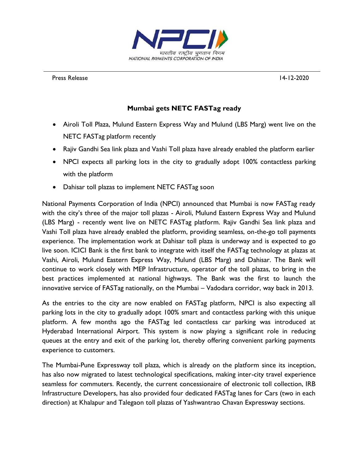

Press Release 14-12-2020

## **Mumbai gets NETC FASTag ready**

- Airoli Toll Plaza, Mulund Eastern Express Way and Mulund (LBS Marg) went live on the NETC FASTag platform recently
- Rajiv Gandhi Sea link plaza and Vashi Toll plaza have already enabled the platform earlier
- NPCI expects all parking lots in the city to gradually adopt 100% contactless parking with the platform
- Dahisar toll plazas to implement NETC FASTag soon

National Payments Corporation of India (NPCI) announced that Mumbai is now FASTag ready with the city's three of the major toll plazas - Airoli, Mulund Eastern Express Way and Mulund (LBS Marg) - recently went live on NETC FASTag platform. Rajiv Gandhi Sea link plaza and Vashi Toll plaza have already enabled the platform, providing seamless, on-the-go toll payments experience. The implementation work at Dahisar toll plaza is underway and is expected to go live soon. ICICI Bank is the first bank to integrate with itself the FASTag technology at plazas at Vashi, Airoli, Mulund Eastern Express Way, Mulund (LBS Marg) and Dahisar. The Bank will continue to work closely with MEP Infrastructure, operator of the toll plazas, to bring in the best practices implemented at national highways. The Bank was the first to launch the innovative service of FASTag nationally, on the Mumbai – Vadodara corridor, way back in 2013.

As the entries to the city are now enabled on FASTag platform, NPCI is also expecting all parking lots in the city to gradually adopt 100% smart and contactless parking with this unique platform. A few months ago the FASTag led contactless car parking was introduced at Hyderabad International Airport. This system is now playing a significant role in reducing queues at the entry and exit of the parking lot, thereby offering convenient parking payments experience to customers.

The Mumbai-Pune Expressway toll plaza, which is already on the platform since its inception, has also now migrated to latest technological specifications, making inter-city travel experience seamless for commuters. Recently, the current concessionaire of electronic toll collection, IRB Infrastructure Developers, has also provided four dedicated FASTag lanes for Cars (two in each direction) at Khalapur and Talegaon toll plazas of Yashwantrao Chavan Expressway sections.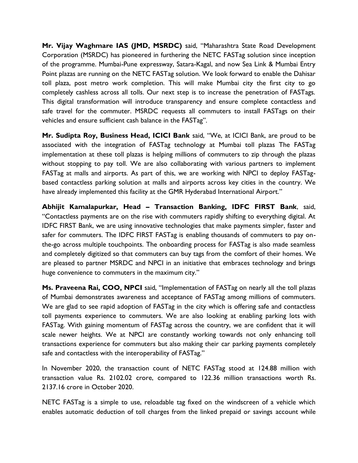**Mr. Vijay Waghmare IAS (JMD, MSRDC)** said, "Maharashtra State Road Development Corporation (MSRDC) has pioneered in furthering the NETC FASTag solution since inception of the programme. Mumbai-Pune expressway, Satara-Kagal, and now Sea Link & Mumbai Entry Point plazas are running on the NETC FASTag solution. We look forward to enable the Dahisar toll plaza, post metro work completion. This will make Mumbai city the first city to go completely cashless across all tolls. Our next step is to increase the penetration of FASTags. This digital transformation will introduce transparency and ensure complete contactless and safe travel for the commuter. MSRDC requests all commuters to install FASTags on their vehicles and ensure sufficient cash balance in the FASTag".

**Mr. Sudipta Roy, Business Head, ICICI Bank** said, "We, at ICICI Bank, are proud to be associated with the integration of FASTag technology at Mumbai toll plazas The FASTag implementation at these toll plazas is helping millions of commuters to zip through the plazas without stopping to pay toll. We are also collaborating with various partners to implement FASTag at malls and airports. As part of this, we are working with NPCI to deploy FASTagbased contactless parking solution at malls and airports across key cities in the country. We have already implemented this facility at the GMR Hyderabad International Airport."

**Abhijit Kamalapurkar, Head – Transaction Banking, IDFC FIRST Bank**, said, "Contactless payments are on the rise with commuters rapidly shifting to everything digital. At IDFC FIRST Bank, we are using innovative technologies that make payments simpler, faster and safer for commuters. The IDFC FIRST FASTag is enabling thousands of commuters to pay onthe-go across multiple touchpoints. The onboarding process for FASTag is also made seamless and completely digitized so that commuters can buy tags from the comfort of their homes. We are pleased to partner MSRDC and NPCI in an initiative that embraces technology and brings huge convenience to commuters in the maximum city."

**Ms. Praveena Rai, COO, NPCI** said, "Implementation of FASTag on nearly all the toll plazas of Mumbai demonstrates awareness and acceptance of FASTag among millions of commuters. We are glad to see rapid adoption of FASTag in the city which is offering safe and contactless toll payments experience to commuters. We are also looking at enabling parking lots with FASTag. With gaining momentum of FASTag across the country, we are confident that it will scale newer heights. We at NPCI are constantly working towards not only enhancing toll transactions experience for commuters but also making their car parking payments completely safe and contactless with the interoperability of FASTag."

In November 2020, the transaction count of NETC FASTag stood at 124.88 million with transaction value Rs. 2102.02 crore, compared to 122.36 million transactions worth Rs. 2137.16 crore in October 2020.

NETC FASTag is a simple to use, reloadable tag fixed on the windscreen of a vehicle which enables automatic deduction of toll charges from the linked prepaid or savings account while